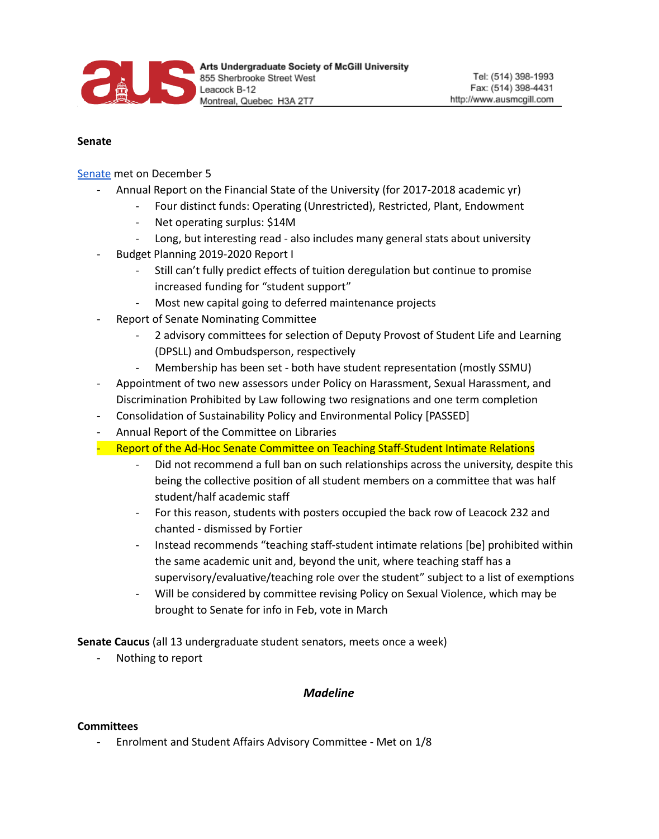

#### **Senate**

Senate met on December 5

- Annual Report on the Financial State of the University (for 2017-2018 academic yr)
	- Four distinct funds: Operating (Unrestricted), Restricted, Plant, Endowment
		- Net operating surplus: \$14M
	- Long, but interesting read also includes many general stats about university
- Budget Planning 2019-2020 Report I
	- Still can't fully predict effects of tuition deregulation but continue to promise increased funding for "student support"
	- Most new capital going to deferred maintenance projects
- Report of Senate Nominating Committee
	- 2 advisory committees for selection of Deputy Provost of Student Life and Learning (DPSLL) and Ombudsperson, respectively
	- Membership has been set both have student representation (mostly SSMU)
- Appointment of two new assessors under Policy on Harassment, Sexual Harassment, and Discrimination Prohibited by Law following two resignations and one term completion
- Consolidation of Sustainability Policy and Environmental Policy [PASSED]
- Annual Report of the Committee on Libraries
- Report of the Ad-Hoc Senate Committee on Teaching Staff-Student Intimate Relations
	- Did not recommend a full ban on such relationships across the university, despite this being the collective position of all student members on a committee that was half student/half academic staff
	- For this reason, students with posters occupied the back row of Leacock 232 and chanted - dismissed by Fortier
	- Instead recommends "teaching staff-student intimate relations [be] prohibited within the same academic unit and, beyond the unit, where teaching staff has a supervisory/evaluative/teaching role over the student" subject to a list of exemptions
	- Will be considered by committee revising Policy on Sexual Violence, which may be brought to Senate for info in Feb, vote in March

**Senate Caucus** (all 13 undergraduate student senators, meets once a week)

- Nothing to report

### *Madeline*

#### **Committees**

- Enrolment and Student Affairs Advisory Committee - Met on 1/8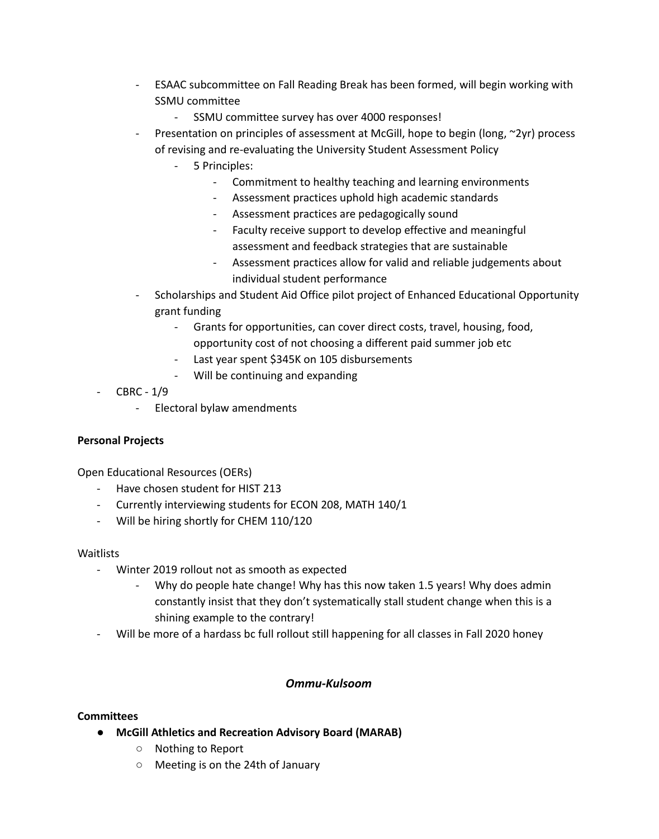- ESAAC subcommittee on Fall Reading Break has been formed, will begin working with SSMU committee
	- SSMU committee survey has over 4000 responses!
- Presentation on principles of assessment at McGill, hope to begin (long,  $\sim$ 2yr) process of revising and re-evaluating the University Student Assessment Policy
	- 5 Principles:
		- Commitment to healthy teaching and learning environments
		- Assessment practices uphold high academic standards
		- Assessment practices are pedagogically sound
		- Faculty receive support to develop effective and meaningful assessment and feedback strategies that are sustainable
		- Assessment practices allow for valid and reliable judgements about individual student performance
- Scholarships and Student Aid Office pilot project of Enhanced Educational Opportunity grant funding
	- Grants for opportunities, can cover direct costs, travel, housing, food, opportunity cost of not choosing a different paid summer job etc
	- Last year spent \$345K on 105 disbursements
	- Will be continuing and expanding
- CBRC 1/9
	- Electoral bylaw amendments

### **Personal Projects**

Open Educational Resources (OERs)

- Have chosen student for HIST 213
- Currently interviewing students for ECON 208, MATH 140/1
- Will be hiring shortly for CHEM 110/120

### **Waitlists**

- Winter 2019 rollout not as smooth as expected
	- Why do people hate change! Why has this now taken 1.5 years! Why does admin constantly insist that they don't systematically stall student change when this is a shining example to the contrary!
- Will be more of a hardass bc full rollout still happening for all classes in Fall 2020 honey

## *Ommu-Kulsoom*

### **Committees**

- **● McGill Athletics and Recreation Advisory Board (MARAB)**
	- Nothing to Report
	- Meeting is on the 24th of January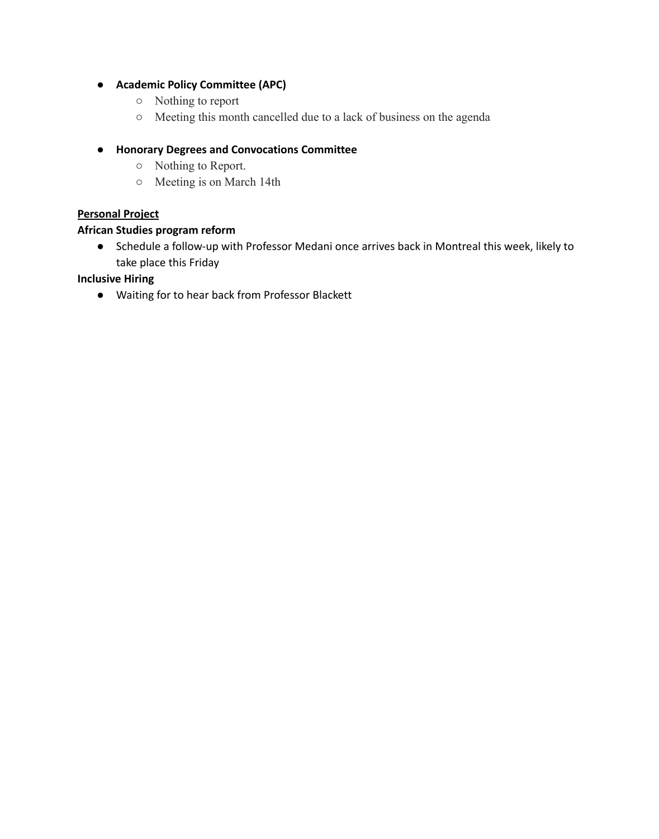# **● Academic Policy Committee (APC)**

- **○** Nothing to report
- **○** Meeting this month cancelled due to a lack of business on the agenda

## **● Honorary Degrees and Convocations Committee**

- **○** Nothing to Report.
- **○** Meeting is on March 14th

### **Personal Project**

### **African Studies program reform**

● Schedule a follow-up with Professor Medani once arrives back in Montreal this week, likely to take place this Friday

### **Inclusive Hiring**

● Waiting for to hear back from Professor Blackett